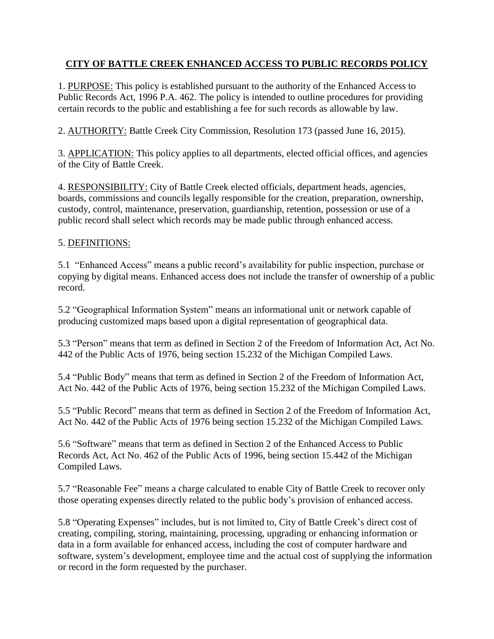# **CITY OF BATTLE CREEK ENHANCED ACCESS TO PUBLIC RECORDS POLICY**

1. PURPOSE: This policy is established pursuant to the authority of the Enhanced Access to Public Records Act, 1996 P.A. 462. The policy is intended to outline procedures for providing certain records to the public and establishing a fee for such records as allowable by law.

2. AUTHORITY: Battle Creek City Commission, Resolution 173 (passed June 16, 2015).

3. APPLICATION: This policy applies to all departments, elected official offices, and agencies of the City of Battle Creek.

4. RESPONSIBILITY: City of Battle Creek elected officials, department heads, agencies, boards, commissions and councils legally responsible for the creation, preparation, ownership, custody, control, maintenance, preservation, guardianship, retention, possession or use of a public record shall select which records may be made public through enhanced access.

### 5. DEFINITIONS:

5.1 "Enhanced Access" means a public record's availability for public inspection, purchase or copying by digital means. Enhanced access does not include the transfer of ownership of a public record.

5.2 "Geographical Information System" means an informational unit or network capable of producing customized maps based upon a digital representation of geographical data.

5.3 "Person" means that term as defined in Section 2 of the Freedom of Information Act, Act No. 442 of the Public Acts of 1976, being section 15.232 of the Michigan Compiled Laws.

5.4 "Public Body" means that term as defined in Section 2 of the Freedom of Information Act, Act No. 442 of the Public Acts of 1976, being section 15.232 of the Michigan Compiled Laws.

5.5 "Public Record" means that term as defined in Section 2 of the Freedom of Information Act, Act No. 442 of the Public Acts of 1976 being section 15.232 of the Michigan Compiled Laws.

5.6 "Software" means that term as defined in Section 2 of the Enhanced Access to Public Records Act, Act No. 462 of the Public Acts of 1996, being section 15.442 of the Michigan Compiled Laws.

5.7 "Reasonable Fee" means a charge calculated to enable City of Battle Creek to recover only those operating expenses directly related to the public body's provision of enhanced access.

5.8 "Operating Expenses" includes, but is not limited to, City of Battle Creek's direct cost of creating, compiling, storing, maintaining, processing, upgrading or enhancing information or data in a form available for enhanced access, including the cost of computer hardware and software, system's development, employee time and the actual cost of supplying the information or record in the form requested by the purchaser.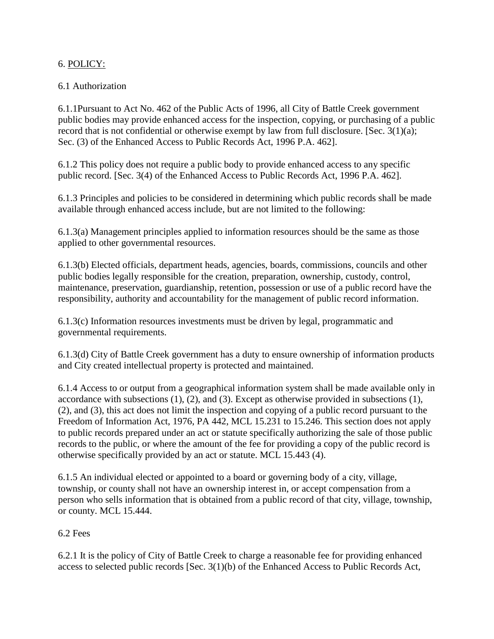## 6. POLICY:

# 6.1 Authorization

6.1.1Pursuant to Act No. 462 of the Public Acts of 1996, all City of Battle Creek government public bodies may provide enhanced access for the inspection, copying, or purchasing of a public record that is not confidential or otherwise exempt by law from full disclosure. [Sec. 3(1)(a); Sec. (3) of the Enhanced Access to Public Records Act, 1996 P.A. 462].

6.1.2 This policy does not require a public body to provide enhanced access to any specific public record. [Sec. 3(4) of the Enhanced Access to Public Records Act, 1996 P.A. 462].

6.1.3 Principles and policies to be considered in determining which public records shall be made available through enhanced access include, but are not limited to the following:

6.1.3(a) Management principles applied to information resources should be the same as those applied to other governmental resources.

6.1.3(b) Elected officials, department heads, agencies, boards, commissions, councils and other public bodies legally responsible for the creation, preparation, ownership, custody, control, maintenance, preservation, guardianship, retention, possession or use of a public record have the responsibility, authority and accountability for the management of public record information.

6.1.3(c) Information resources investments must be driven by legal, programmatic and governmental requirements.

6.1.3(d) City of Battle Creek government has a duty to ensure ownership of information products and City created intellectual property is protected and maintained.

6.1.4 Access to or output from a geographical information system shall be made available only in accordance with subsections (1), (2), and (3). Except as otherwise provided in subsections (1), (2), and (3), this act does not limit the inspection and copying of a public record pursuant to the Freedom of Information Act, 1976, PA 442, MCL 15.231 to 15.246. This section does not apply to public records prepared under an act or statute specifically authorizing the sale of those public records to the public, or where the amount of the fee for providing a copy of the public record is otherwise specifically provided by an act or statute. MCL 15.443 (4).

6.1.5 An individual elected or appointed to a board or governing body of a city, village, township, or county shall not have an ownership interest in, or accept compensation from a person who sells information that is obtained from a public record of that city, village, township, or county. MCL 15.444.

### 6.2 Fees

6.2.1 It is the policy of City of Battle Creek to charge a reasonable fee for providing enhanced access to selected public records [Sec. 3(1)(b) of the Enhanced Access to Public Records Act,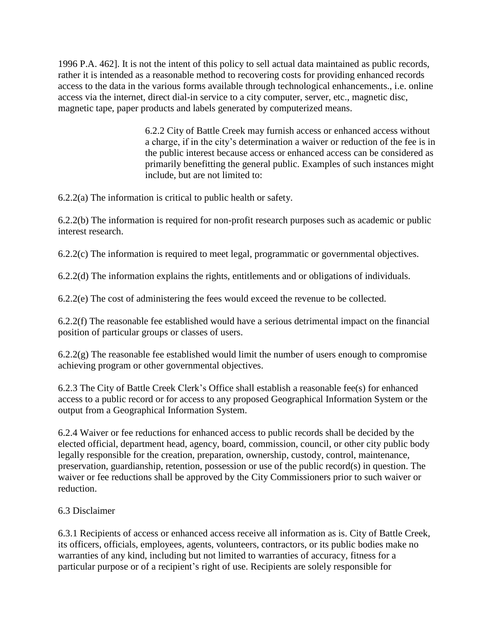1996 P.A. 462]. It is not the intent of this policy to sell actual data maintained as public records, rather it is intended as a reasonable method to recovering costs for providing enhanced records access to the data in the various forms available through technological enhancements., i.e. online access via the internet, direct dial-in service to a city computer, server, etc., magnetic disc, magnetic tape, paper products and labels generated by computerized means.

> 6.2.2 City of Battle Creek may furnish access or enhanced access without a charge, if in the city's determination a waiver or reduction of the fee is in the public interest because access or enhanced access can be considered as primarily benefitting the general public. Examples of such instances might include, but are not limited to:

6.2.2(a) The information is critical to public health or safety.

6.2.2(b) The information is required for non-profit research purposes such as academic or public interest research.

6.2.2(c) The information is required to meet legal, programmatic or governmental objectives.

6.2.2(d) The information explains the rights, entitlements and or obligations of individuals.

6.2.2(e) The cost of administering the fees would exceed the revenue to be collected.

6.2.2(f) The reasonable fee established would have a serious detrimental impact on the financial position of particular groups or classes of users.

 $6.2.2(g)$  The reasonable fee established would limit the number of users enough to compromise achieving program or other governmental objectives.

6.2.3 The City of Battle Creek Clerk's Office shall establish a reasonable fee(s) for enhanced access to a public record or for access to any proposed Geographical Information System or the output from a Geographical Information System.

6.2.4 Waiver or fee reductions for enhanced access to public records shall be decided by the elected official, department head, agency, board, commission, council, or other city public body legally responsible for the creation, preparation, ownership, custody, control, maintenance, preservation, guardianship, retention, possession or use of the public record(s) in question. The waiver or fee reductions shall be approved by the City Commissioners prior to such waiver or reduction.

### 6.3 Disclaimer

6.3.1 Recipients of access or enhanced access receive all information as is. City of Battle Creek, its officers, officials, employees, agents, volunteers, contractors, or its public bodies make no warranties of any kind, including but not limited to warranties of accuracy, fitness for a particular purpose or of a recipient's right of use. Recipients are solely responsible for